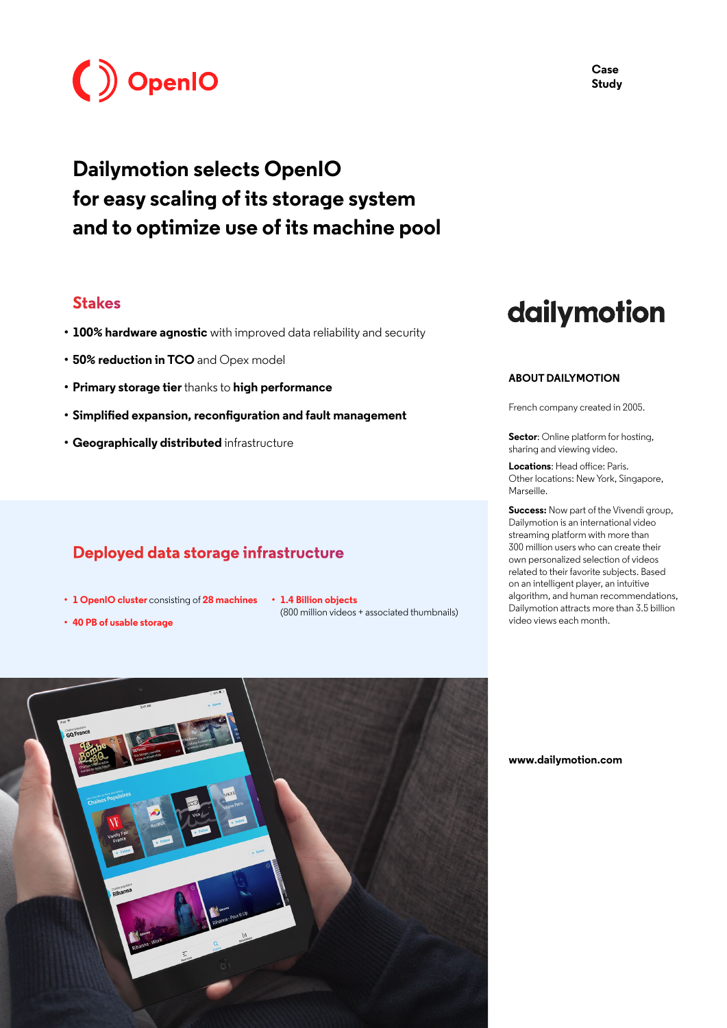

## **Dailymotion selects OpenIO for easy scaling of its storage system and to optimize use of its machine pool**

### **Stakes**

- **• 100% hardware agnostic** with improved data reliability and security
- **• 50% reduction in TCO** and Opex model
- **• Primary storage tier** thanks to **high performance**
- **• Simplified expansion, reconfiguration and fault management**
- **• Geographically distributed** infrastructure

### **Deployed data storage infrastructure**

- **• 1 OpenIO cluster** consisting of **28 machines**
- **• 40 PB of usable storage**
- **• 1.4 Billion objects** (800 million videos + associated thumbnails)



dailymotion

#### **ABOUT DAILYMOTION**

French company created in 2005.

**Sector:** Online platform for hosting, sharing and viewing video.

**Locations**: Head office: Paris. Other locations: New York, Singapore, Marseille.

**Success:** Now part of the Vivendi group, Dailymotion is an international video streaming platform with more than 300 million users who can create their own personalized selection of videos related to their favorite subjects. Based on an intelligent player, an intuitive algorithm, and human recommendations, Dailymotion attracts more than 3.5 billion video views each month.

#### **[www.dailymotion.com](https://www.dailymotion.com/)**

**Case Study**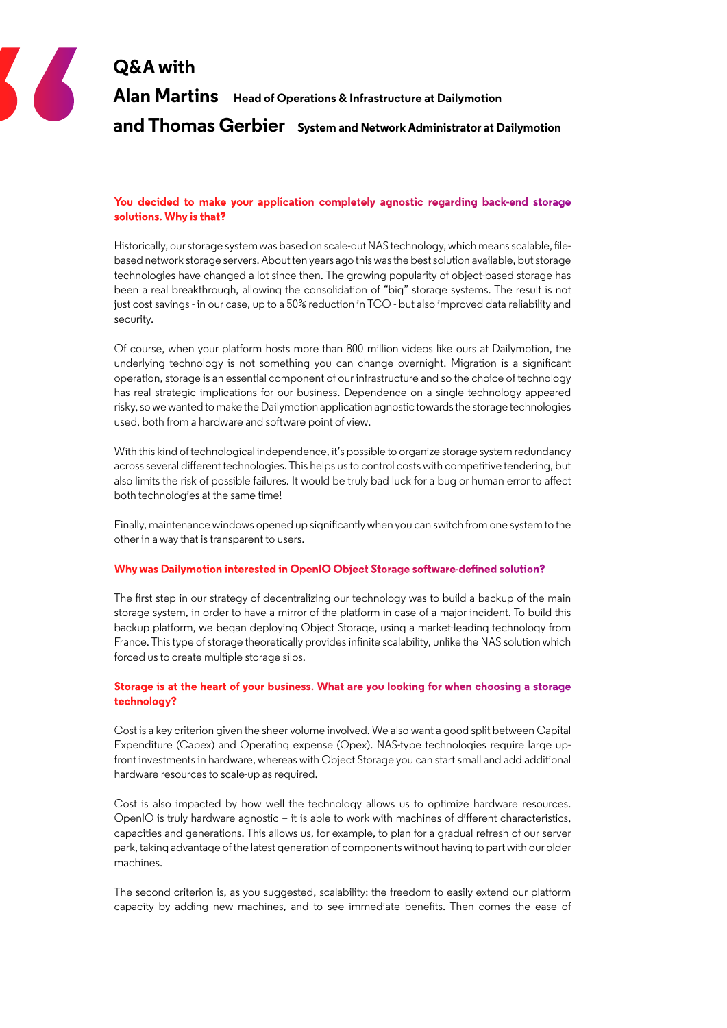# **Q&A with Alan Martins Head of Operations & Infrastructure at Dailymotion and Thomas Gerbier System and Network Administrator at Dailymotion**

#### **You decided to make your application completely agnostic regarding back-end storage solutions. Why is that?**

Historically, our storage system was based on scale-out NAS technology, which means scalable, filebased network storage servers. About ten years ago this was the best solution available, but storage technologies have changed a lot since then. The growing popularity of object-based storage has been a real breakthrough, allowing the consolidation of "big" storage systems. The result is not just cost savings - in our case, up to a 50% reduction in TCO - but also improved data reliability and security.

Of course, when your platform hosts more than 800 million videos like ours at Dailymotion, the underlying technology is not something you can change overnight. Migration is a significant operation, storage is an essential component of our infrastructure and so the choice of technology has real strategic implications for our business. Dependence on a single technology appeared risky, so we wanted to make the Dailymotion application agnostic towards the storage technologies used, both from a hardware and software point of view.

With this kind of technological independence, it's possible to organize storage system redundancy across several different technologies. This helps us to control costs with competitive tendering, but also limits the risk of possible failures. It would be truly bad luck for a bug or human error to affect both technologies at the same time!

Finally, maintenance windows opened up significantly when you can switch from one system to the other in a way that is transparent to users.

#### **Why was Dailymotion interested in OpenIO Object Storage software-defined solution?**

The first step in our strategy of decentralizing our technology was to build a backup of the main storage system, in order to have a mirror of the platform in case of a major incident. To build this backup platform, we began deploying Object Storage, using a market-leading technology from France. This type of storage theoretically provides infinite scalability, unlike the NAS solution which forced us to create multiple storage silos.

#### **Storage is at the heart of your business. What are you looking for when choosing a storage technology?**

Cost is a key criterion given the sheer volume involved. We also want a good split between Capital Expenditure (Capex) and Operating expense (Opex). NAS-type technologies require large upfront investments in hardware, whereas with Object Storage you can start small and add additional hardware resources to scale-up as required.

Cost is also impacted by how well the technology allows us to optimize hardware resources. OpenIO is truly hardware agnostic – it is able to work with machines of different characteristics, capacities and generations. This allows us, for example, to plan for a gradual refresh of our server park, taking advantage of the latest generation of components without having to part with our older machines.

The second criterion is, as you suggested, scalability: the freedom to easily extend our platform capacity by adding new machines, and to see immediate benefits. Then comes the ease of